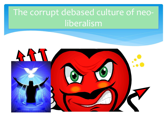## The corrupt debased culture of neoliberalism

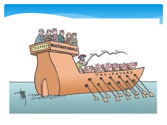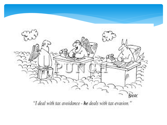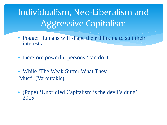## Individualism, Neo-Liberalism and Aggressive Capitalism

- ∗ Pogge: Humans will shape their thinking to suit their interests
- ∗ therefore powerful persons 'can do it
- ∗ While 'The Weak Suffer What They Must' (Varoufakis)
- ∗ (Pope) 'Unbridled Capitalism is the devil's dung' 2015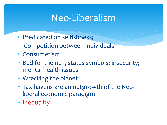### Neo-Liberalism

- ∗ Predicated on selfishness;
- ∗ Competition between individuals
- ∗ Consumerism
- ∗ Bad for the rich, status symbols; insecurity; mental health issues
- ∗ Wrecking the planet
- ∗ Tax havens are an outgrowth of the Neoliberal economic paradigm
- ∗ Inequality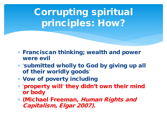# Corrupting spiritual principles: How?

- ∗ Franciscan thinking; wealth and power were evil
- ∗ 'submitted wholly to God by giving up all of their worldly goods'
- ∗ Vow of poverty including
- ∗ 'property will' they didn't own their mind or body
- ∗ (Michael Freeman, Human Rights and Capitalism, Elgar 2007).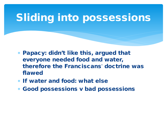# Sliding into possessions

- ∗ Papacy: didn't like this, argued that everyone needed food and water, therefore the Franciscans' doctrine was flawed
- ∗ If water and food: what else
- ∗ Good possessions v bad possessions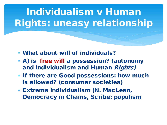Individualism v Human Rights: uneasy relationship

- ∗ What about will of individuals?
- ∗ A) is free will a possession? (autonomy and individualism and Human Rights)
- ∗ If there are Good possessions: how much is allowed? (consumer societies)
- ∗ Extreme individualism (N. MacLean, Democracy in Chains, Scribe: populism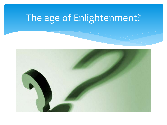## The age of Enlightenment?

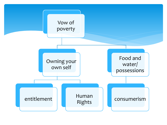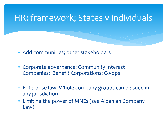#### HR: framework; States v individuals

- ∗ Add communities; other stakeholders
- ∗ Corporate governance; Community Interest Companies; Benefit Corporations; Co-ops
- ∗ Enterprise law; Whole company groups can be sued in any jurisdiction
- ∗ Limiting the power of MNEs (see Albanian Company Law)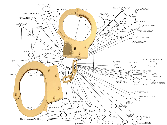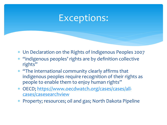### Exceptions:

- ∗ Un Declaration on the Rights of Indigenous Peoples 2007
- ∗ "indigenous peoples' rights are by definition collective rights"
- ∗ "The international community clearly affirms that indigenous peoples require recognition of their rights as people to enable them to enjoy human rights"
- ∗ OECD; [https://www.oecdwatch.org/cases/cases/all](https://www.oecdwatch.org/cases/cases/all-cases/casesearchview)[cases/casesearchview](https://www.oecdwatch.org/cases/cases/all-cases/casesearchview)
- **Property; resources; oil and gas; North Dakota Pipeline**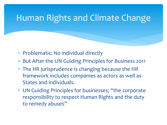#### Human Rights and Climate Change

- ∗ Problematic: No individual directly
- ∗ But After the UN Guiding Principles for Business 2011
- ∗ The HR jurisprudence is changing because the HR framework includes companies as actors as well as States and individuals.
- ∗ UN Guiding Principles for businesses; "the corporate responsibility to respect Human Rights and the duty to remedy abuses"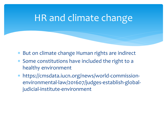### HR and climate change

- ∗ But on climate change Human rights are indirect
- ∗ Some constitutions have included the right to a healthy environment
- ∗ https://cmsdata.iucn.org/news/world-commissionenvironmental-law/201607/judges-establish-globaljudicial-institute-environment